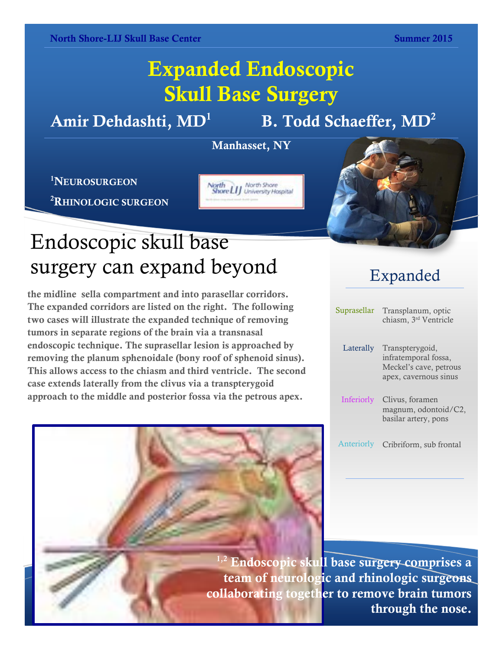### **Expanded Endoscopic Skull Base Surgery**

**Amir Dehdashti, MD<sup>1</sup>**

 **B. Todd Schaeffer, MD<sup>2</sup>**

**Manhasset, NY**

North<br>Shore LIJ University Hospital

**<sup>1</sup>NEUROSURGEON**

**<sup>2</sup>RHINOLOGIC SURGEON**



# Endoscopic skull base surgery can expand beyond

**OLOGIC SURGEON**<br>Political surgeon and surgeon and surgeon and surgeon and surgeon and surgeon and surgeon and surgeon and surgeon The expanded corridors are listed on the right. The following tumors in separate regions of the brain via a transnasal **removing the planum sphenoidale (bony roof of sphenoid sinus).** This allows access to the chiasm and third ventricle. The second **the midline sella compartment and into parasellar corridors. two cases will illustrate the expanded technique of removing endoscopic technique. The suprasellar lesion is approached by case extends laterally from the clivus via a transpterygoid approach to the middle and posterior fossa via the petrous apex.** 

#### Expanded

| Suprasellar       | Transplanum, optic<br>chiasm, 3rd Ventricle                                                |
|-------------------|--------------------------------------------------------------------------------------------|
| Laterally         | Transpterygoid,<br>infratemporal fossa,<br>Meckel's cave, petrous<br>apex, cavernous sinus |
| <b>Inferiorly</b> | Clivus, foramen<br>magnum, odontoid/C2,<br>basilar artery, pons                            |
| Anteriorly        | Cribriform, sub frontal                                                                    |

**1,2 Endoscopic skull base surgery comprises a team of neurologic and rhinologic surgeons collaborating together to remove brain tumors through the nose.**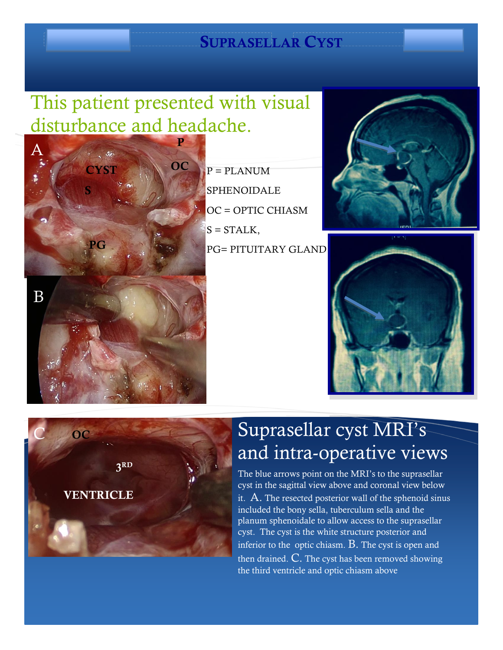#### **SUPRASELLAR CYST**

#### This patient presented with visual disturbance and headache.



 $P = PLANUM$ SPHENOIDALE OC = OPTIC CHIASM  $S = STALK$ , PG= PITUITARY GLAND







### Suprasellar cyst MRI's and intra-operative views

The blue arrows point on the MRI's to the suprasellar cyst in the sagittal view above and coronal view below it.  $A$ . The resected posterior wall of the sphenoid sinus included the bony sella, tuberculum sella and the planum sphenoidale to allow access to the suprasellar cyst. The cyst is the white structure posterior and inferior to the optic chiasm.  $B$ . The cyst is open and then drained.  $C$ . The cyst has been removed showing the third ventricle and optic chiasm above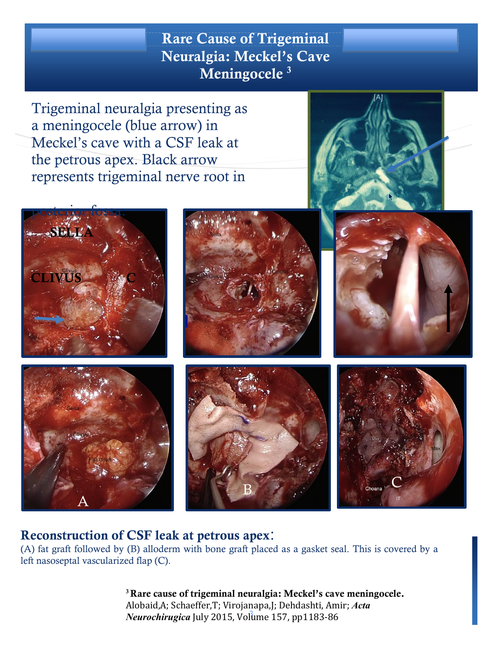**Rare Cause of Trigeminal Rare Cause of Trigeminal Neuralgia: Meckel's Cave Meningocele <sup>3</sup>**

Trigeminal neuralgia presenting as a meningocele (blue arrow) in Meckel's cave with a CSF leak at the petrous apex. Black arrow represents trigeminal nerve root in





A







#### **Reconstruction of CSF leak at petrous apex**:

(A) fat graft followed by (B) alloderm with bone graft placed as a gasket seal. This is covered by a left nasoseptal vascularized flap (C).

B

3 *Neurochirugica* July 2015, Volume 157, pp1183-86 **<sup>3</sup>Rare cause of trigeminal neuralgia: Meckel's cave meningocele.** Alobaid,A; Schaeffer,T; Virojanapa,J; Dehdashti, Amir; *Acta*